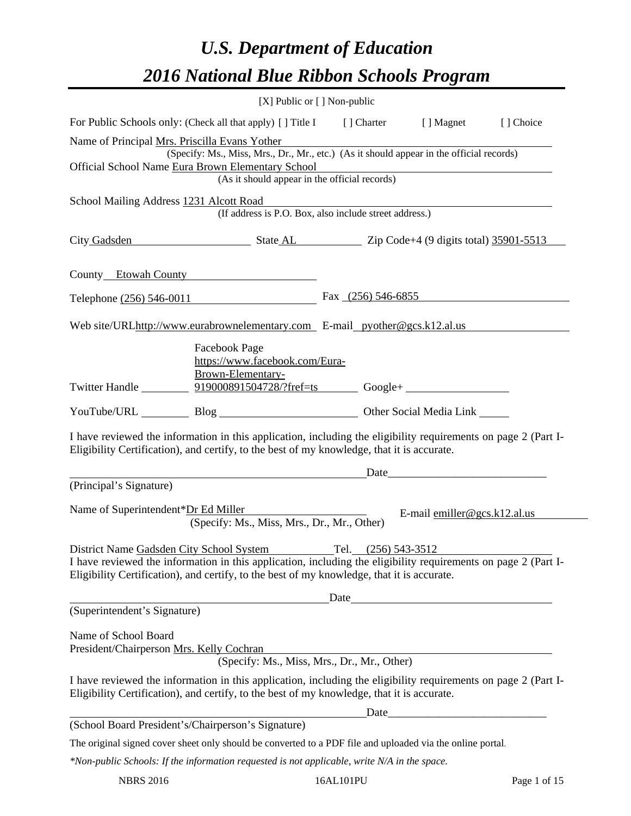# *U.S. Department of Education 2016 National Blue Ribbon Schools Program*

|                                                                  | [X] Public or [] Non-public                                                                                                                                                                                                                                                  |                      |                                                                                                                      |           |
|------------------------------------------------------------------|------------------------------------------------------------------------------------------------------------------------------------------------------------------------------------------------------------------------------------------------------------------------------|----------------------|----------------------------------------------------------------------------------------------------------------------|-----------|
|                                                                  | For Public Schools only: (Check all that apply) [] Title I [] Charter [] Magnet                                                                                                                                                                                              |                      |                                                                                                                      | [] Choice |
| Name of Principal Mrs. Priscilla Evans Yother                    | (Specify: Ms., Miss, Mrs., Dr., Mr., etc.) (As it should appear in the official records)                                                                                                                                                                                     |                      |                                                                                                                      |           |
|                                                                  | Official School Name Eura Brown Elementary School<br>(As it should appear in the official records)                                                                                                                                                                           |                      | <u> 1989 - Johann Stoff, deutscher Stoff, der Stoff, der Stoff, der Stoff, der Stoff, der Stoff, der Stoff, der </u> |           |
| School Mailing Address 1231 Alcott Road                          | (If address is P.O. Box, also include street address.)                                                                                                                                                                                                                       |                      |                                                                                                                      |           |
|                                                                  | City Gadsden State AL Zip Code+4 (9 digits total) 35901-5513                                                                                                                                                                                                                 |                      |                                                                                                                      |           |
|                                                                  | County Etowah County                                                                                                                                                                                                                                                         |                      |                                                                                                                      |           |
|                                                                  | Telephone (256) 546-0011                                                                                                                                                                                                                                                     | Fax $(256)$ 546-6855 |                                                                                                                      |           |
|                                                                  | Web site/URLhttp://www.eurabrownelementary.com E-mail pyother@gcs.k12.al.us                                                                                                                                                                                                  |                      |                                                                                                                      |           |
|                                                                  | Facebook Page<br>https://www.facebook.com/Eura-<br>Brown-Elementary-<br>Twitter Handle 199000891504728/?fref=ts Google+                                                                                                                                                      |                      |                                                                                                                      |           |
|                                                                  | YouTube/URL Blog Blog Cher Social Media Link                                                                                                                                                                                                                                 |                      |                                                                                                                      |           |
|                                                                  | I have reviewed the information in this application, including the eligibility requirements on page 2 (Part I-<br>Eligibility Certification), and certify, to the best of my knowledge, that it is accurate.                                                                 |                      |                                                                                                                      |           |
| (Principal's Signature)                                          | <u> 1989 - Johann Barnett, fransk politik (d. 1989)</u>                                                                                                                                                                                                                      |                      | $Date$ $\qquad \qquad$                                                                                               |           |
|                                                                  |                                                                                                                                                                                                                                                                              |                      |                                                                                                                      |           |
|                                                                  | Name of Superintendent*Dr Ed Miller<br>(Specify: Ms., Miss, Mrs., Dr., Mr., Other)                                                                                                                                                                                           |                      | E-mail $emiller@gcs.k12.al.us$                                                                                       |           |
|                                                                  | District Name Gadsden City School System Tel. (256) 543-3512<br>I have reviewed the information in this application, including the eligibility requirements on page 2 (Part I-<br>Eligibility Certification), and certify, to the best of my knowledge, that it is accurate. |                      |                                                                                                                      |           |
|                                                                  |                                                                                                                                                                                                                                                                              |                      |                                                                                                                      |           |
| (Superintendent's Signature)                                     |                                                                                                                                                                                                                                                                              |                      |                                                                                                                      |           |
| Name of School Board<br>President/Chairperson Mrs. Kelly Cochran | (Specify: Ms., Miss, Mrs., Dr., Mr., Other)                                                                                                                                                                                                                                  |                      |                                                                                                                      |           |
|                                                                  | I have reviewed the information in this application, including the eligibility requirements on page 2 (Part I-<br>Eligibility Certification), and certify, to the best of my knowledge, that it is accurate.                                                                 |                      |                                                                                                                      |           |
|                                                                  |                                                                                                                                                                                                                                                                              |                      |                                                                                                                      |           |
|                                                                  | (School Board President's/Chairperson's Signature)                                                                                                                                                                                                                           |                      |                                                                                                                      |           |
|                                                                  | The original signed cover sheet only should be converted to a PDF file and uploaded via the online portal.                                                                                                                                                                   |                      |                                                                                                                      |           |
|                                                                  | *Non-public Schools: If the information requested is not applicable, write N/A in the space.                                                                                                                                                                                 |                      |                                                                                                                      |           |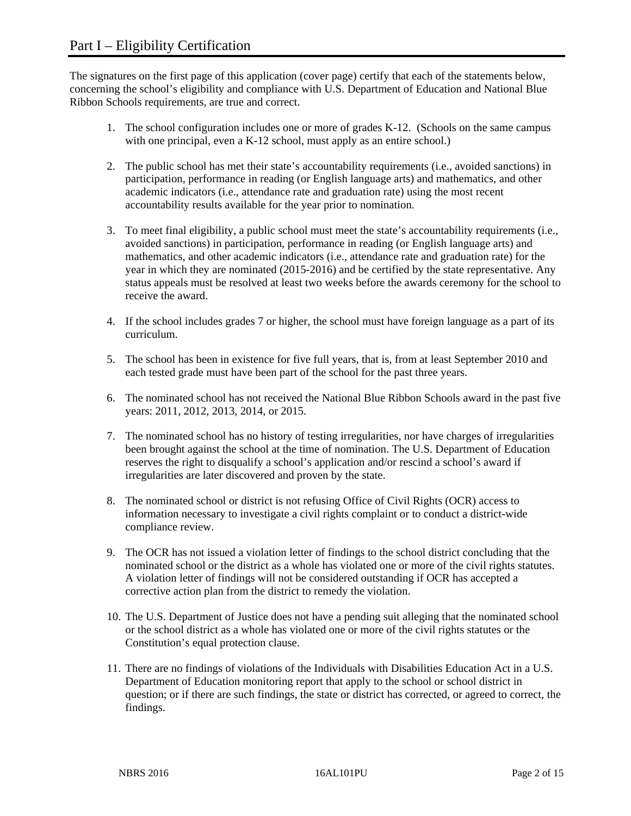The signatures on the first page of this application (cover page) certify that each of the statements below, concerning the school's eligibility and compliance with U.S. Department of Education and National Blue Ribbon Schools requirements, are true and correct.

- 1. The school configuration includes one or more of grades K-12. (Schools on the same campus with one principal, even a K-12 school, must apply as an entire school.)
- 2. The public school has met their state's accountability requirements (i.e., avoided sanctions) in participation, performance in reading (or English language arts) and mathematics, and other academic indicators (i.e., attendance rate and graduation rate) using the most recent accountability results available for the year prior to nomination.
- 3. To meet final eligibility, a public school must meet the state's accountability requirements (i.e., avoided sanctions) in participation, performance in reading (or English language arts) and mathematics, and other academic indicators (i.e., attendance rate and graduation rate) for the year in which they are nominated (2015-2016) and be certified by the state representative. Any status appeals must be resolved at least two weeks before the awards ceremony for the school to receive the award.
- 4. If the school includes grades 7 or higher, the school must have foreign language as a part of its curriculum.
- 5. The school has been in existence for five full years, that is, from at least September 2010 and each tested grade must have been part of the school for the past three years.
- 6. The nominated school has not received the National Blue Ribbon Schools award in the past five years: 2011, 2012, 2013, 2014, or 2015.
- 7. The nominated school has no history of testing irregularities, nor have charges of irregularities been brought against the school at the time of nomination. The U.S. Department of Education reserves the right to disqualify a school's application and/or rescind a school's award if irregularities are later discovered and proven by the state.
- 8. The nominated school or district is not refusing Office of Civil Rights (OCR) access to information necessary to investigate a civil rights complaint or to conduct a district-wide compliance review.
- 9. The OCR has not issued a violation letter of findings to the school district concluding that the nominated school or the district as a whole has violated one or more of the civil rights statutes. A violation letter of findings will not be considered outstanding if OCR has accepted a corrective action plan from the district to remedy the violation.
- 10. The U.S. Department of Justice does not have a pending suit alleging that the nominated school or the school district as a whole has violated one or more of the civil rights statutes or the Constitution's equal protection clause.
- 11. There are no findings of violations of the Individuals with Disabilities Education Act in a U.S. Department of Education monitoring report that apply to the school or school district in question; or if there are such findings, the state or district has corrected, or agreed to correct, the findings.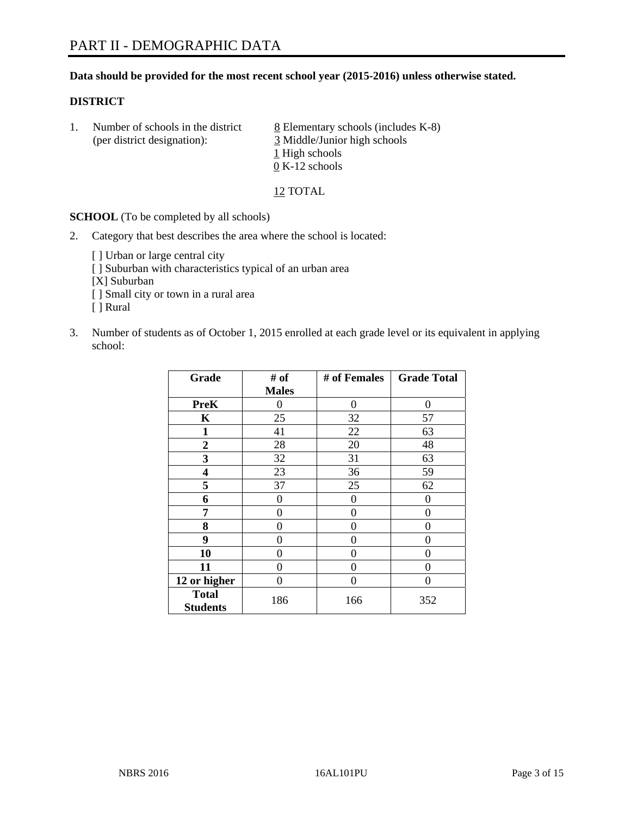# **Data should be provided for the most recent school year (2015-2016) unless otherwise stated.**

# **DISTRICT**

1. Number of schools in the district  $8$  Elementary schools (includes K-8) (per district designation): 3 Middle/Junior high schools 1 High schools 0 K-12 schools

12 TOTAL

**SCHOOL** (To be completed by all schools)

- 2. Category that best describes the area where the school is located:
	- [] Urban or large central city [ ] Suburban with characteristics typical of an urban area [X] Suburban [ ] Small city or town in a rural area [ ] Rural
- 3. Number of students as of October 1, 2015 enrolled at each grade level or its equivalent in applying school:

| Grade                           | # of         | # of Females | <b>Grade Total</b> |
|---------------------------------|--------------|--------------|--------------------|
|                                 | <b>Males</b> |              |                    |
| <b>PreK</b>                     | 0            | 0            | 0                  |
| $\mathbf K$                     | 25           | 32           | 57                 |
| $\mathbf{1}$                    | 41           | 22           | 63                 |
| $\overline{2}$                  | 28           | 20           | 48                 |
| 3                               | 32           | 31           | 63                 |
| $\overline{\mathbf{4}}$         | 23           | 36           | 59                 |
| 5                               | 37           | 25           | 62                 |
| 6                               | $\theta$     | $\theta$     | 0                  |
| 7                               | 0            | 0            | 0                  |
| 8                               | 0            | $\theta$     | 0                  |
| 9                               | 0            | 0            | 0                  |
| 10                              | $\Omega$     | 0            | $\Omega$           |
| 11                              | 0            | 0            | $\mathbf{\Omega}$  |
| 12 or higher                    | 0            | 0            | 0                  |
| <b>Total</b><br><b>Students</b> | 186          | 166          | 352                |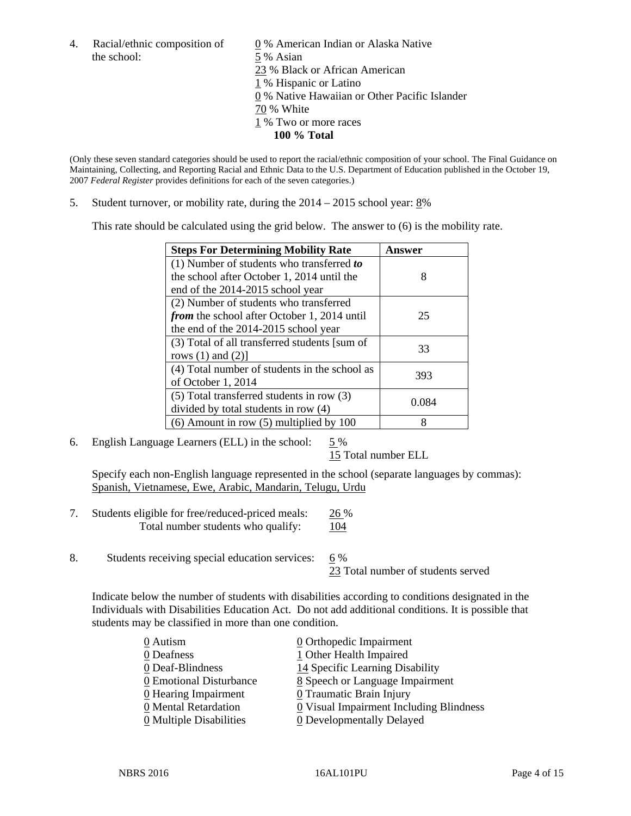the school: 5 % Asian

4. Racial/ethnic composition of  $\qquad 0\%$  American Indian or Alaska Native 23 % Black or African American 1 % Hispanic or Latino 0 % Native Hawaiian or Other Pacific Islander 70 % White 1 % Two or more races **100 % Total** 

(Only these seven standard categories should be used to report the racial/ethnic composition of your school. The Final Guidance on Maintaining, Collecting, and Reporting Racial and Ethnic Data to the U.S. Department of Education published in the October 19, 2007 *Federal Register* provides definitions for each of the seven categories.)

5. Student turnover, or mobility rate, during the  $2014 - 2015$  school year:  $8\%$ 

This rate should be calculated using the grid below. The answer to (6) is the mobility rate.

| <b>Steps For Determining Mobility Rate</b>         | Answer |  |
|----------------------------------------------------|--------|--|
| (1) Number of students who transferred to          |        |  |
| the school after October 1, 2014 until the         | 8      |  |
| end of the 2014-2015 school year                   |        |  |
| (2) Number of students who transferred             |        |  |
| <i>from</i> the school after October 1, 2014 until | 25     |  |
| the end of the 2014-2015 school year               |        |  |
| (3) Total of all transferred students [sum of      | 33     |  |
| rows $(1)$ and $(2)$ ]                             |        |  |
| (4) Total number of students in the school as      | 393    |  |
| of October 1, 2014                                 |        |  |
| (5) Total transferred students in row (3)          | 0.084  |  |
| divided by total students in row (4)               |        |  |
| $(6)$ Amount in row $(5)$ multiplied by 100        | 8      |  |

6. English Language Learners (ELL) in the school:  $5\%$ 

15 Total number ELL

 Specify each non-English language represented in the school (separate languages by commas): Spanish, Vietnamese, Ewe, Arabic, Mandarin, Telugu, Urdu

- 7. Students eligible for free/reduced-priced meals: 26 % Total number students who qualify:  $104$
- 8. Students receiving special education services: 6 %

23 Total number of students served

Indicate below the number of students with disabilities according to conditions designated in the Individuals with Disabilities Education Act. Do not add additional conditions. It is possible that students may be classified in more than one condition.

| 0 Autism                              | 0 Orthopedic Impairment                   |
|---------------------------------------|-------------------------------------------|
| 0 Deafness                            | 1 Other Health Impaired                   |
| 0 Deaf-Blindness                      | 14 Specific Learning Disability           |
| 0 Emotional Disturbance               | 8 Speech or Language Impairment           |
| 0 Hearing Impairment                  | 0 Traumatic Brain Injury                  |
| 0 Mental Retardation                  | $Q$ Visual Impairment Including Blindness |
| $\underline{0}$ Multiple Disabilities | <b>0</b> Developmentally Delayed          |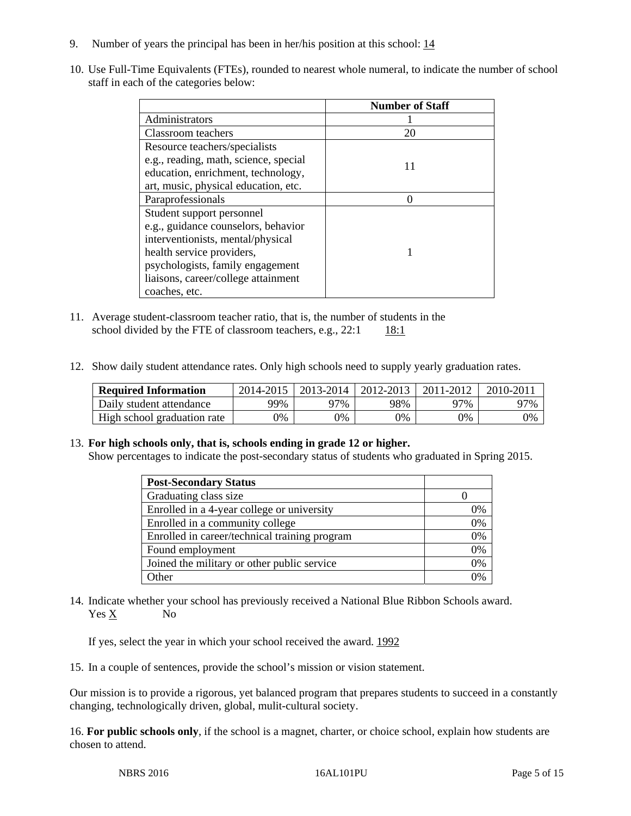- 9. Number of years the principal has been in her/his position at this school:  $\frac{14}{1}$
- 10. Use Full-Time Equivalents (FTEs), rounded to nearest whole numeral, to indicate the number of school staff in each of the categories below:

|                                       | <b>Number of Staff</b> |
|---------------------------------------|------------------------|
| Administrators                        |                        |
| Classroom teachers                    | 20                     |
| Resource teachers/specialists         |                        |
| e.g., reading, math, science, special |                        |
| education, enrichment, technology,    |                        |
| art, music, physical education, etc.  |                        |
| Paraprofessionals                     |                        |
| Student support personnel             |                        |
| e.g., guidance counselors, behavior   |                        |
| interventionists, mental/physical     |                        |
| health service providers,             |                        |
| psychologists, family engagement      |                        |
| liaisons, career/college attainment   |                        |
| coaches, etc.                         |                        |

- 11. Average student-classroom teacher ratio, that is, the number of students in the school divided by the FTE of classroom teachers, e.g.,  $22:1$  18:1
- 12. Show daily student attendance rates. Only high schools need to supply yearly graduation rates.

| <b>Required Information</b> | 2014-2015 | $2013 - 2014$ | 2012-2013 | 2011-2012 | 2010-2011 |
|-----------------------------|-----------|---------------|-----------|-----------|-----------|
| Daily student attendance    | 99%       | 97%           | 98%       | 77%       | 97%       |
| High school graduation rate | 9%        | 0%            | 0%        | 9%        | 0%        |

#### 13. **For high schools only, that is, schools ending in grade 12 or higher.**

Show percentages to indicate the post-secondary status of students who graduated in Spring 2015.

| <b>Post-Secondary Status</b>                  |    |
|-----------------------------------------------|----|
| Graduating class size                         |    |
| Enrolled in a 4-year college or university    | 0% |
| Enrolled in a community college               | 0% |
| Enrolled in career/technical training program | 0% |
| Found employment                              | 0% |
| Joined the military or other public service   | 0% |
| <b>Other</b>                                  | 2% |

14. Indicate whether your school has previously received a National Blue Ribbon Schools award. Yes X No

If yes, select the year in which your school received the award. 1992

15. In a couple of sentences, provide the school's mission or vision statement.

Our mission is to provide a rigorous, yet balanced program that prepares students to succeed in a constantly changing, technologically driven, global, mulit-cultural society.

16. **For public schools only**, if the school is a magnet, charter, or choice school, explain how students are chosen to attend.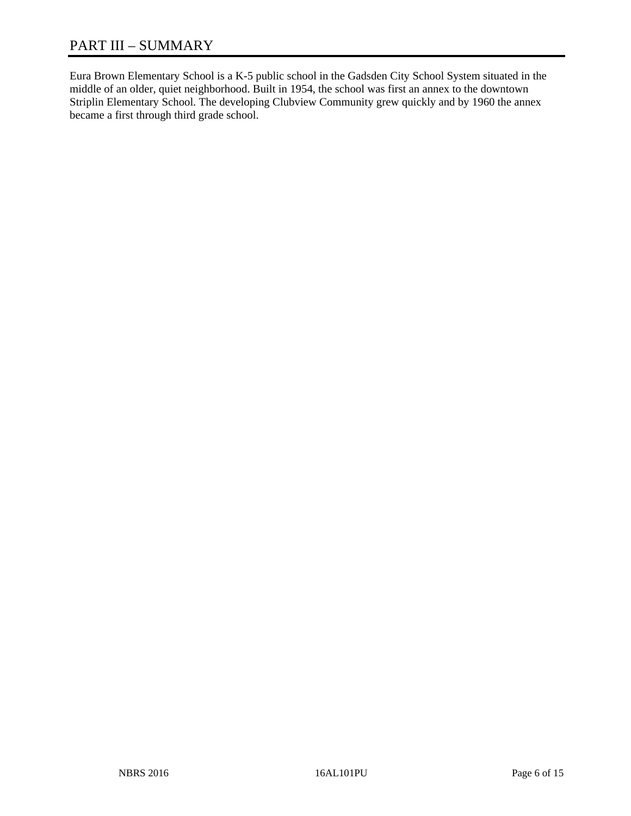# PART III – SUMMARY

Eura Brown Elementary School is a K-5 public school in the Gadsden City School System situated in the middle of an older, quiet neighborhood. Built in 1954, the school was first an annex to the downtown Striplin Elementary School. The developing Clubview Community grew quickly and by 1960 the annex became a first through third grade school.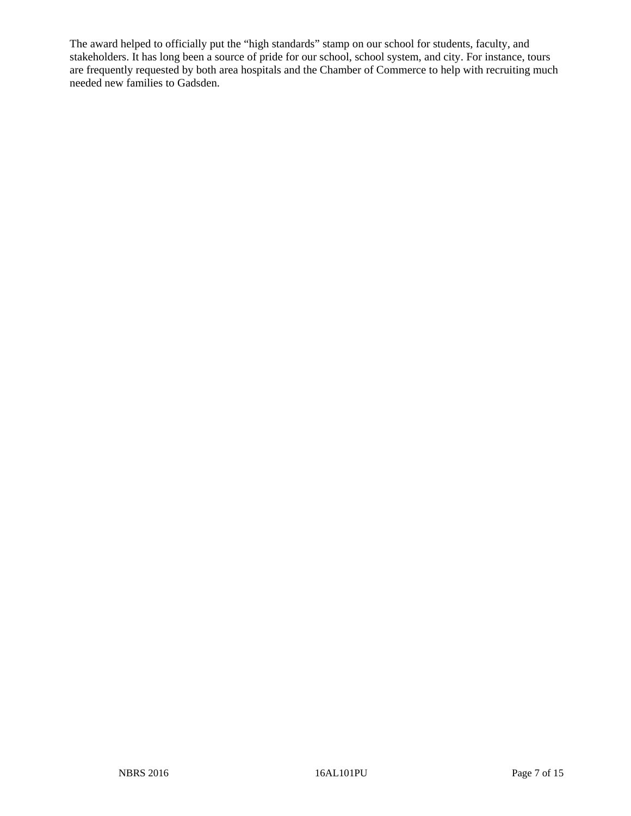The award helped to officially put the "high standards" stamp on our school for students, faculty, and stakeholders. It has long been a source of pride for our school, school system, and city. For instance, tours are frequently requested by both area hospitals and the Chamber of Commerce to help with recruiting much needed new families to Gadsden.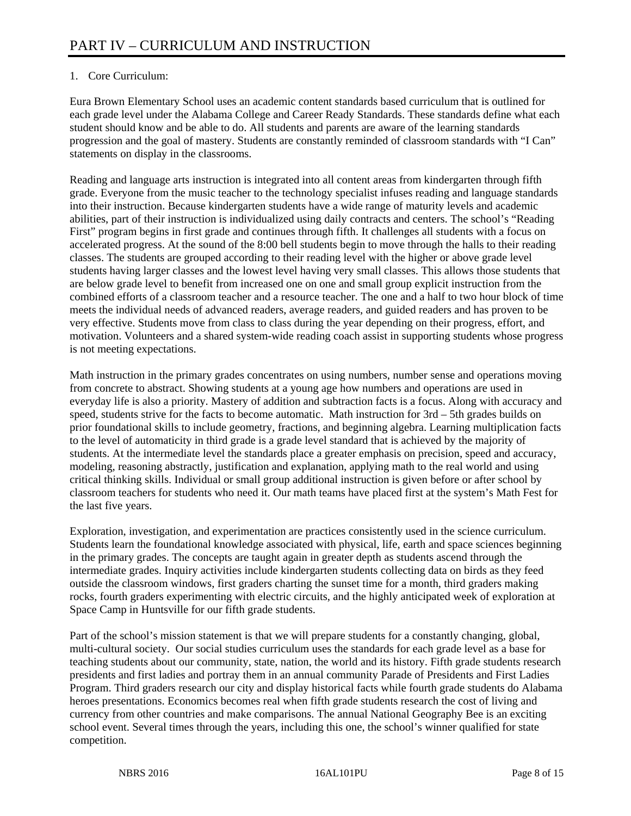# 1. Core Curriculum:

Eura Brown Elementary School uses an academic content standards based curriculum that is outlined for each grade level under the Alabama College and Career Ready Standards. These standards define what each student should know and be able to do. All students and parents are aware of the learning standards progression and the goal of mastery. Students are constantly reminded of classroom standards with "I Can" statements on display in the classrooms.

Reading and language arts instruction is integrated into all content areas from kindergarten through fifth grade. Everyone from the music teacher to the technology specialist infuses reading and language standards into their instruction. Because kindergarten students have a wide range of maturity levels and academic abilities, part of their instruction is individualized using daily contracts and centers. The school's "Reading First" program begins in first grade and continues through fifth. It challenges all students with a focus on accelerated progress. At the sound of the 8:00 bell students begin to move through the halls to their reading classes. The students are grouped according to their reading level with the higher or above grade level students having larger classes and the lowest level having very small classes. This allows those students that are below grade level to benefit from increased one on one and small group explicit instruction from the combined efforts of a classroom teacher and a resource teacher. The one and a half to two hour block of time meets the individual needs of advanced readers, average readers, and guided readers and has proven to be very effective. Students move from class to class during the year depending on their progress, effort, and motivation. Volunteers and a shared system-wide reading coach assist in supporting students whose progress is not meeting expectations.

Math instruction in the primary grades concentrates on using numbers, number sense and operations moving from concrete to abstract. Showing students at a young age how numbers and operations are used in everyday life is also a priority. Mastery of addition and subtraction facts is a focus. Along with accuracy and speed, students strive for the facts to become automatic. Math instruction for 3rd – 5th grades builds on prior foundational skills to include geometry, fractions, and beginning algebra. Learning multiplication facts to the level of automaticity in third grade is a grade level standard that is achieved by the majority of students. At the intermediate level the standards place a greater emphasis on precision, speed and accuracy, modeling, reasoning abstractly, justification and explanation, applying math to the real world and using critical thinking skills. Individual or small group additional instruction is given before or after school by classroom teachers for students who need it. Our math teams have placed first at the system's Math Fest for the last five years.

Exploration, investigation, and experimentation are practices consistently used in the science curriculum. Students learn the foundational knowledge associated with physical, life, earth and space sciences beginning in the primary grades. The concepts are taught again in greater depth as students ascend through the intermediate grades. Inquiry activities include kindergarten students collecting data on birds as they feed outside the classroom windows, first graders charting the sunset time for a month, third graders making rocks, fourth graders experimenting with electric circuits, and the highly anticipated week of exploration at Space Camp in Huntsville for our fifth grade students.

Part of the school's mission statement is that we will prepare students for a constantly changing, global, multi-cultural society. Our social studies curriculum uses the standards for each grade level as a base for teaching students about our community, state, nation, the world and its history. Fifth grade students research presidents and first ladies and portray them in an annual community Parade of Presidents and First Ladies Program. Third graders research our city and display historical facts while fourth grade students do Alabama heroes presentations. Economics becomes real when fifth grade students research the cost of living and currency from other countries and make comparisons. The annual National Geography Bee is an exciting school event. Several times through the years, including this one, the school's winner qualified for state competition.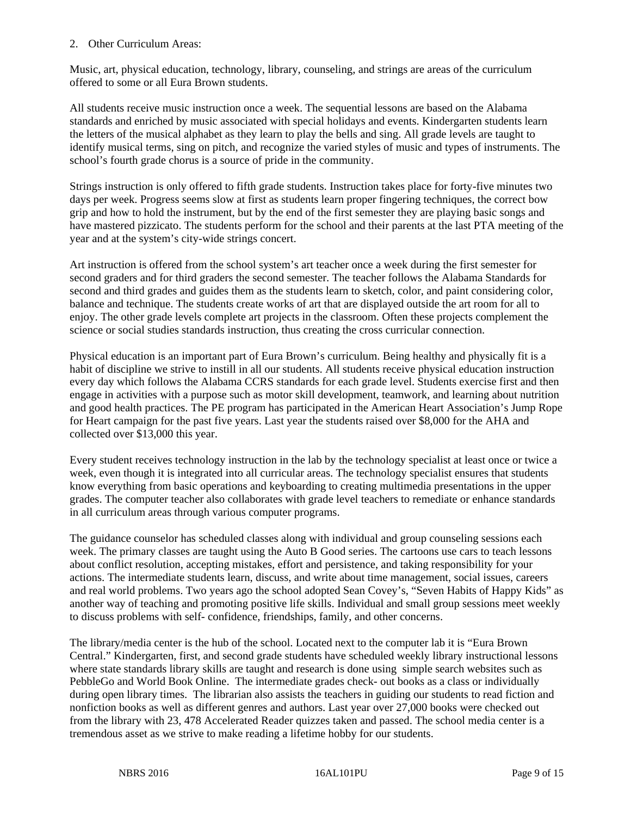## 2. Other Curriculum Areas:

Music, art, physical education, technology, library, counseling, and strings are areas of the curriculum offered to some or all Eura Brown students.

All students receive music instruction once a week. The sequential lessons are based on the Alabama standards and enriched by music associated with special holidays and events. Kindergarten students learn the letters of the musical alphabet as they learn to play the bells and sing. All grade levels are taught to identify musical terms, sing on pitch, and recognize the varied styles of music and types of instruments. The school's fourth grade chorus is a source of pride in the community.

Strings instruction is only offered to fifth grade students. Instruction takes place for forty-five minutes two days per week. Progress seems slow at first as students learn proper fingering techniques, the correct bow grip and how to hold the instrument, but by the end of the first semester they are playing basic songs and have mastered pizzicato. The students perform for the school and their parents at the last PTA meeting of the year and at the system's city-wide strings concert.

Art instruction is offered from the school system's art teacher once a week during the first semester for second graders and for third graders the second semester. The teacher follows the Alabama Standards for second and third grades and guides them as the students learn to sketch, color, and paint considering color, balance and technique. The students create works of art that are displayed outside the art room for all to enjoy. The other grade levels complete art projects in the classroom. Often these projects complement the science or social studies standards instruction, thus creating the cross curricular connection.

Physical education is an important part of Eura Brown's curriculum. Being healthy and physically fit is a habit of discipline we strive to instill in all our students. All students receive physical education instruction every day which follows the Alabama CCRS standards for each grade level. Students exercise first and then engage in activities with a purpose such as motor skill development, teamwork, and learning about nutrition and good health practices. The PE program has participated in the American Heart Association's Jump Rope for Heart campaign for the past five years. Last year the students raised over \$8,000 for the AHA and collected over \$13,000 this year.

Every student receives technology instruction in the lab by the technology specialist at least once or twice a week, even though it is integrated into all curricular areas. The technology specialist ensures that students know everything from basic operations and keyboarding to creating multimedia presentations in the upper grades. The computer teacher also collaborates with grade level teachers to remediate or enhance standards in all curriculum areas through various computer programs.

The guidance counselor has scheduled classes along with individual and group counseling sessions each week. The primary classes are taught using the Auto B Good series. The cartoons use cars to teach lessons about conflict resolution, accepting mistakes, effort and persistence, and taking responsibility for your actions. The intermediate students learn, discuss, and write about time management, social issues, careers and real world problems. Two years ago the school adopted Sean Covey's, "Seven Habits of Happy Kids" as another way of teaching and promoting positive life skills. Individual and small group sessions meet weekly to discuss problems with self- confidence, friendships, family, and other concerns.

The library/media center is the hub of the school. Located next to the computer lab it is "Eura Brown Central." Kindergarten, first, and second grade students have scheduled weekly library instructional lessons where state standards library skills are taught and research is done using simple search websites such as PebbleGo and World Book Online. The intermediate grades check- out books as a class or individually during open library times. The librarian also assists the teachers in guiding our students to read fiction and nonfiction books as well as different genres and authors. Last year over 27,000 books were checked out from the library with 23, 478 Accelerated Reader quizzes taken and passed. The school media center is a tremendous asset as we strive to make reading a lifetime hobby for our students.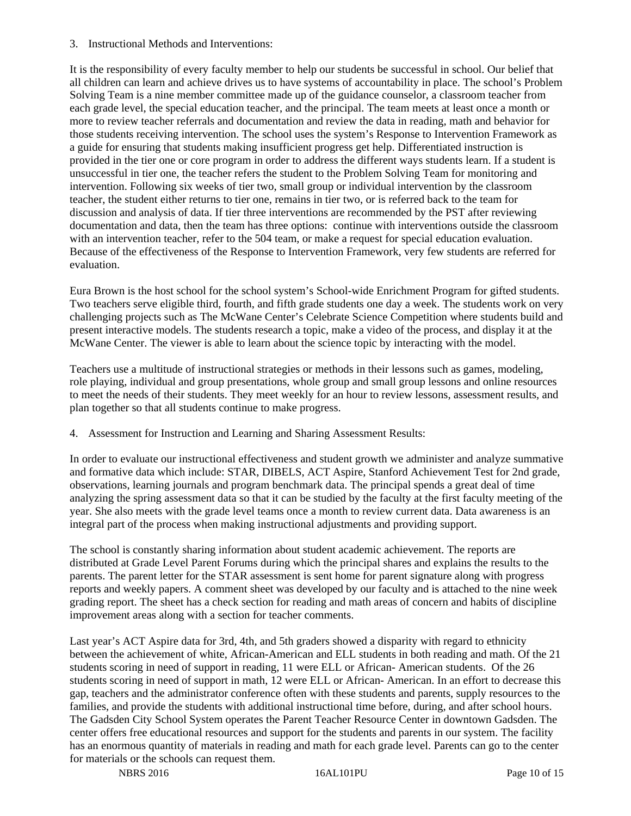3. Instructional Methods and Interventions:

It is the responsibility of every faculty member to help our students be successful in school. Our belief that all children can learn and achieve drives us to have systems of accountability in place. The school's Problem Solving Team is a nine member committee made up of the guidance counselor, a classroom teacher from each grade level, the special education teacher, and the principal. The team meets at least once a month or more to review teacher referrals and documentation and review the data in reading, math and behavior for those students receiving intervention. The school uses the system's Response to Intervention Framework as a guide for ensuring that students making insufficient progress get help. Differentiated instruction is provided in the tier one or core program in order to address the different ways students learn. If a student is unsuccessful in tier one, the teacher refers the student to the Problem Solving Team for monitoring and intervention. Following six weeks of tier two, small group or individual intervention by the classroom teacher, the student either returns to tier one, remains in tier two, or is referred back to the team for discussion and analysis of data. If tier three interventions are recommended by the PST after reviewing documentation and data, then the team has three options: continue with interventions outside the classroom with an intervention teacher, refer to the 504 team, or make a request for special education evaluation. Because of the effectiveness of the Response to Intervention Framework, very few students are referred for evaluation.

Eura Brown is the host school for the school system's School-wide Enrichment Program for gifted students. Two teachers serve eligible third, fourth, and fifth grade students one day a week. The students work on very challenging projects such as The McWane Center's Celebrate Science Competition where students build and present interactive models. The students research a topic, make a video of the process, and display it at the McWane Center. The viewer is able to learn about the science topic by interacting with the model.

Teachers use a multitude of instructional strategies or methods in their lessons such as games, modeling, role playing, individual and group presentations, whole group and small group lessons and online resources to meet the needs of their students. They meet weekly for an hour to review lessons, assessment results, and plan together so that all students continue to make progress.

4. Assessment for Instruction and Learning and Sharing Assessment Results:

In order to evaluate our instructional effectiveness and student growth we administer and analyze summative and formative data which include: STAR, DIBELS, ACT Aspire, Stanford Achievement Test for 2nd grade, observations, learning journals and program benchmark data. The principal spends a great deal of time analyzing the spring assessment data so that it can be studied by the faculty at the first faculty meeting of the year. She also meets with the grade level teams once a month to review current data. Data awareness is an integral part of the process when making instructional adjustments and providing support.

The school is constantly sharing information about student academic achievement. The reports are distributed at Grade Level Parent Forums during which the principal shares and explains the results to the parents. The parent letter for the STAR assessment is sent home for parent signature along with progress reports and weekly papers. A comment sheet was developed by our faculty and is attached to the nine week grading report. The sheet has a check section for reading and math areas of concern and habits of discipline improvement areas along with a section for teacher comments.

Last year's ACT Aspire data for 3rd, 4th, and 5th graders showed a disparity with regard to ethnicity between the achievement of white, African-American and ELL students in both reading and math. Of the 21 students scoring in need of support in reading, 11 were ELL or African- American students. Of the 26 students scoring in need of support in math, 12 were ELL or African- American. In an effort to decrease this gap, teachers and the administrator conference often with these students and parents, supply resources to the families, and provide the students with additional instructional time before, during, and after school hours. The Gadsden City School System operates the Parent Teacher Resource Center in downtown Gadsden. The center offers free educational resources and support for the students and parents in our system. The facility has an enormous quantity of materials in reading and math for each grade level. Parents can go to the center for materials or the schools can request them.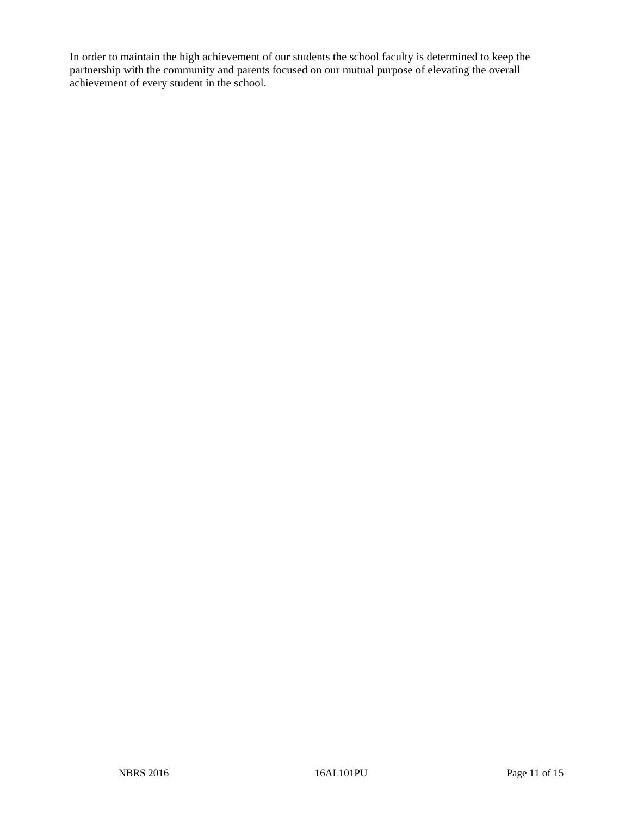In order to maintain the high achievement of our students the school faculty is determined to keep the partnership with the community and parents focused on our mutual purpose of elevating the overall achievement of every student in the school.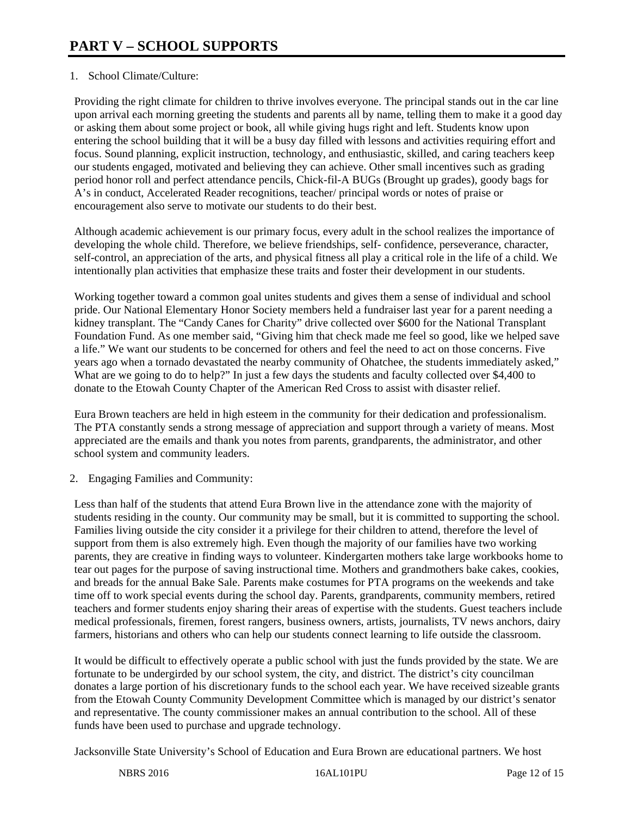# 1. School Climate/Culture:

Providing the right climate for children to thrive involves everyone. The principal stands out in the car line upon arrival each morning greeting the students and parents all by name, telling them to make it a good day or asking them about some project or book, all while giving hugs right and left. Students know upon entering the school building that it will be a busy day filled with lessons and activities requiring effort and focus. Sound planning, explicit instruction, technology, and enthusiastic, skilled, and caring teachers keep our students engaged, motivated and believing they can achieve. Other small incentives such as grading period honor roll and perfect attendance pencils, Chick-fil-A BUGs (Brought up grades), goody bags for A's in conduct, Accelerated Reader recognitions, teacher/ principal words or notes of praise or encouragement also serve to motivate our students to do their best.

Although academic achievement is our primary focus, every adult in the school realizes the importance of developing the whole child. Therefore, we believe friendships, self- confidence, perseverance, character, self-control, an appreciation of the arts, and physical fitness all play a critical role in the life of a child. We intentionally plan activities that emphasize these traits and foster their development in our students.

Working together toward a common goal unites students and gives them a sense of individual and school pride. Our National Elementary Honor Society members held a fundraiser last year for a parent needing a kidney transplant. The "Candy Canes for Charity" drive collected over \$600 for the National Transplant Foundation Fund. As one member said, "Giving him that check made me feel so good, like we helped save a life." We want our students to be concerned for others and feel the need to act on those concerns. Five years ago when a tornado devastated the nearby community of Ohatchee, the students immediately asked," What are we going to do to help?" In just a few days the students and faculty collected over \$4,400 to donate to the Etowah County Chapter of the American Red Cross to assist with disaster relief.

Eura Brown teachers are held in high esteem in the community for their dedication and professionalism. The PTA constantly sends a strong message of appreciation and support through a variety of means. Most appreciated are the emails and thank you notes from parents, grandparents, the administrator, and other school system and community leaders.

2. Engaging Families and Community:

Less than half of the students that attend Eura Brown live in the attendance zone with the majority of students residing in the county. Our community may be small, but it is committed to supporting the school. Families living outside the city consider it a privilege for their children to attend, therefore the level of support from them is also extremely high. Even though the majority of our families have two working parents, they are creative in finding ways to volunteer. Kindergarten mothers take large workbooks home to tear out pages for the purpose of saving instructional time. Mothers and grandmothers bake cakes, cookies, and breads for the annual Bake Sale. Parents make costumes for PTA programs on the weekends and take time off to work special events during the school day. Parents, grandparents, community members, retired teachers and former students enjoy sharing their areas of expertise with the students. Guest teachers include medical professionals, firemen, forest rangers, business owners, artists, journalists, TV news anchors, dairy farmers, historians and others who can help our students connect learning to life outside the classroom.

It would be difficult to effectively operate a public school with just the funds provided by the state. We are fortunate to be undergirded by our school system, the city, and district. The district's city councilman donates a large portion of his discretionary funds to the school each year. We have received sizeable grants from the Etowah County Community Development Committee which is managed by our district's senator and representative. The county commissioner makes an annual contribution to the school. All of these funds have been used to purchase and upgrade technology.

Jacksonville State University's School of Education and Eura Brown are educational partners. We host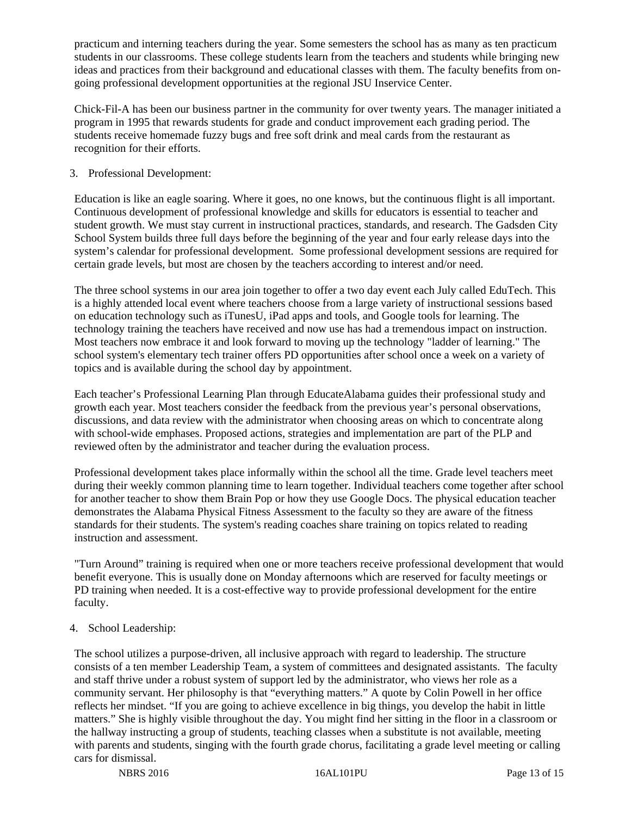practicum and interning teachers during the year. Some semesters the school has as many as ten practicum students in our classrooms. These college students learn from the teachers and students while bringing new ideas and practices from their background and educational classes with them. The faculty benefits from ongoing professional development opportunities at the regional JSU Inservice Center.

Chick-Fil-A has been our business partner in the community for over twenty years. The manager initiated a program in 1995 that rewards students for grade and conduct improvement each grading period. The students receive homemade fuzzy bugs and free soft drink and meal cards from the restaurant as recognition for their efforts.

# 3. Professional Development:

Education is like an eagle soaring. Where it goes, no one knows, but the continuous flight is all important. Continuous development of professional knowledge and skills for educators is essential to teacher and student growth. We must stay current in instructional practices, standards, and research. The Gadsden City School System builds three full days before the beginning of the year and four early release days into the system's calendar for professional development. Some professional development sessions are required for certain grade levels, but most are chosen by the teachers according to interest and/or need.

The three school systems in our area join together to offer a two day event each July called EduTech. This is a highly attended local event where teachers choose from a large variety of instructional sessions based on education technology such as iTunesU, iPad apps and tools, and Google tools for learning. The technology training the teachers have received and now use has had a tremendous impact on instruction. Most teachers now embrace it and look forward to moving up the technology "ladder of learning." The school system's elementary tech trainer offers PD opportunities after school once a week on a variety of topics and is available during the school day by appointment.

Each teacher's Professional Learning Plan through EducateAlabama guides their professional study and growth each year. Most teachers consider the feedback from the previous year's personal observations, discussions, and data review with the administrator when choosing areas on which to concentrate along with school-wide emphases. Proposed actions, strategies and implementation are part of the PLP and reviewed often by the administrator and teacher during the evaluation process.

Professional development takes place informally within the school all the time. Grade level teachers meet during their weekly common planning time to learn together. Individual teachers come together after school for another teacher to show them Brain Pop or how they use Google Docs. The physical education teacher demonstrates the Alabama Physical Fitness Assessment to the faculty so they are aware of the fitness standards for their students. The system's reading coaches share training on topics related to reading instruction and assessment.

"Turn Around" training is required when one or more teachers receive professional development that would benefit everyone. This is usually done on Monday afternoons which are reserved for faculty meetings or PD training when needed. It is a cost-effective way to provide professional development for the entire faculty.

# 4. School Leadership:

The school utilizes a purpose-driven, all inclusive approach with regard to leadership. The structure consists of a ten member Leadership Team, a system of committees and designated assistants. The faculty and staff thrive under a robust system of support led by the administrator, who views her role as a community servant. Her philosophy is that "everything matters." A quote by Colin Powell in her office reflects her mindset. "If you are going to achieve excellence in big things, you develop the habit in little matters." She is highly visible throughout the day. You might find her sitting in the floor in a classroom or the hallway instructing a group of students, teaching classes when a substitute is not available, meeting with parents and students, singing with the fourth grade chorus, facilitating a grade level meeting or calling cars for dismissal.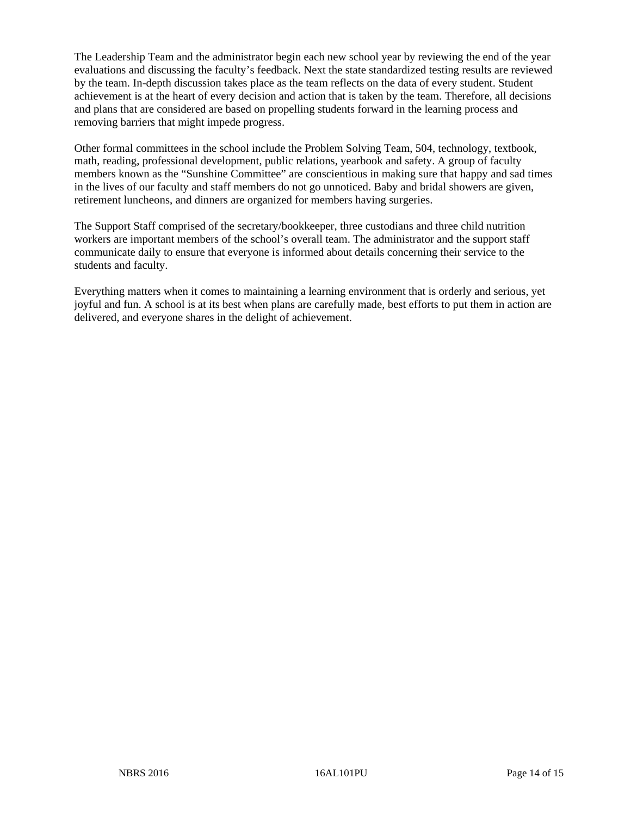The Leadership Team and the administrator begin each new school year by reviewing the end of the year evaluations and discussing the faculty's feedback. Next the state standardized testing results are reviewed by the team. In-depth discussion takes place as the team reflects on the data of every student. Student achievement is at the heart of every decision and action that is taken by the team. Therefore, all decisions and plans that are considered are based on propelling students forward in the learning process and removing barriers that might impede progress.

Other formal committees in the school include the Problem Solving Team, 504, technology, textbook, math, reading, professional development, public relations, yearbook and safety. A group of faculty members known as the "Sunshine Committee" are conscientious in making sure that happy and sad times in the lives of our faculty and staff members do not go unnoticed. Baby and bridal showers are given, retirement luncheons, and dinners are organized for members having surgeries.

The Support Staff comprised of the secretary/bookkeeper, three custodians and three child nutrition workers are important members of the school's overall team. The administrator and the support staff communicate daily to ensure that everyone is informed about details concerning their service to the students and faculty.

Everything matters when it comes to maintaining a learning environment that is orderly and serious, yet joyful and fun. A school is at its best when plans are carefully made, best efforts to put them in action are delivered, and everyone shares in the delight of achievement.